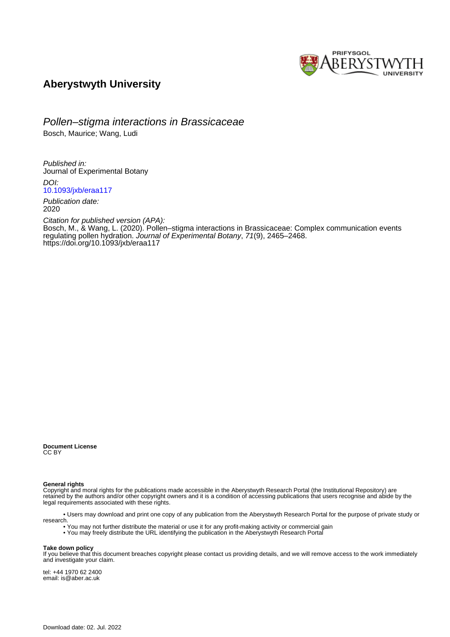

# **Aberystwyth University**

Pollen–stigma interactions in Brassicaceae

Bosch, Maurice; Wang, Ludi

Published in: Journal of Experimental Botany

DOI: [10.1093/jxb/eraa117](https://doi.org/10.1093/jxb/eraa117)

Publication date: 2020

Citation for published version (APA): [Bosch, M.](https://pure.aber.ac.uk/portal/en/persons/maurice-bosch(581197e6-9757-4a01-9a49-c7cdedd5cc29).html)[, & Wang, L.](https://pure.aber.ac.uk/portal/en/persons/ludi-wang(265e0c34-6ad6-432b-be57-8a4b8228a656).html) (2020). [Pollen–stigma interactions in Brassicaceae: Complex communication events](https://pure.aber.ac.uk/portal/en/publications/pollenstigma-interactions-in-brassicaceae(105321ae-bf56-4567-859c-8a786a221306).html) [regulating pollen hydration](https://pure.aber.ac.uk/portal/en/publications/pollenstigma-interactions-in-brassicaceae(105321ae-bf56-4567-859c-8a786a221306).html). Journal of Experimental Botany, 71(9), 2465–2468. <https://doi.org/10.1093/jxb/eraa117>

**Document License** CC BY

**General rights**

Copyright and moral rights for the publications made accessible in the Aberystwyth Research Portal (the Institutional Repository) are retained by the authors and/or other copyright owners and it is a condition of accessing publications that users recognise and abide by the legal requirements associated with these rights.

 • Users may download and print one copy of any publication from the Aberystwyth Research Portal for the purpose of private study or research.

• You may not further distribute the material or use it for any profit-making activity or commercial gain

• You may freely distribute the URL identifying the publication in the Aberystwyth Research Portal

#### **Take down policy**

If you believe that this document breaches copyright please contact us providing details, and we will remove access to the work immediately and investigate your claim.

tel: +44 1970 62 2400 email: is@aber.ac.uk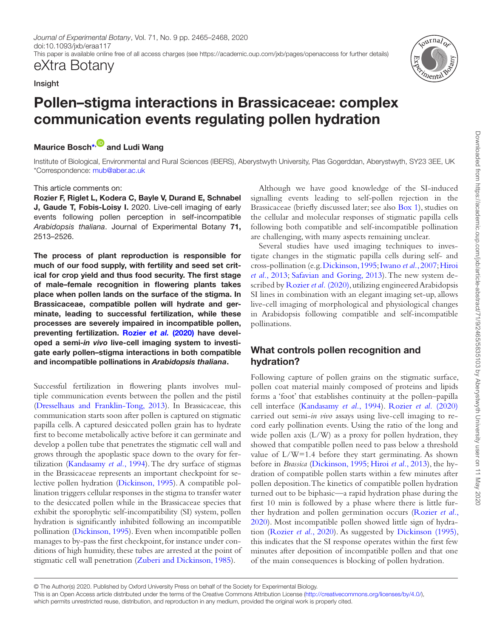*Journal of Experimental Botany*, Vol. 71, No. 9 pp. 2465–2468, 2020 doi:10.1093/jxb/eraa117 This paper is available online free of all access charges (see https://academic.oup.com/jxb/pages/openaccess for further details)

# eXtra Botany

## Insight

# Pollen–stigma interactions in Brassicaceae: complex communication events regulating pollen hydration

# Maurice Bosch<sup>[\\*,](#page-1-0) and</sup> Ludi Wang

<span id="page-1-0"></span>Institute of Biological, Environmental and Rural Sciences (IBERS), Aberystwyth University, Plas Gogerddan, Aberystwyth, SY23 3EE, UK \*Correspondence: [mub@aber.ac.uk](mailto:mub@aber.ac.uk?subject=)

## This article comments on:

Rozier F, Riglet L, Kodera C, Bayle V, Durand E, Schnabel J, Gaude T, Fobis-Loisy I. 2020. Live-cell imaging of early events following pollen perception in self-incompatible *Arabidopsis thaliana*. Journal of Experimental Botany 71, 2513–2526.

The process of plant reproduction is responsible for much of our food supply, with fertility and seed set critical for crop yield and thus food security. The first stage of male–female recognition in flowering plants takes place when pollen lands on the surface of the stigma. In Brassicaceae, compatible pollen will hydrate and germinate, leading to successful fertilization, while these processes are severely impaired in incompatible pollen, preventing fertilization. [Rozier](#page-4-0) *et al.* (2020) have developed a semi-*in vivo* live-cell imaging system to investigate early pollen–stigma interactions in both compatible and incompatible pollinations in *Arabidopsis thaliana*.

Successful fertilization in flowering plants involves multiple communication events between the pollen and the pistil [\(Dresselhaus and Franklin-Tong, 2013](#page-4-1)). In Brassicaceae, this communication starts soon after pollen is captured on stigmatic papilla cells. A captured desiccated pollen grain has to hydrate first to become metabolically active before it can germinate and develop a pollen tube that penetrates the stigmatic cell wall and grows through the apoplastic space down to the ovary for fertilization ([Kandasamy](#page-4-2) *et al.*, 1994). The dry surface of stigmas in the Brassicaceae represents an important checkpoint for selective pollen hydration ([Dickinson, 1995\)](#page-4-3). A compatible pollination triggers cellular responses in the stigma to transfer water to the desiccated pollen while in the Brassicaceae species that exhibit the sporophytic self-incompatibility (SI) system, pollen hydration is significantly inhibited following an incompatible pollination [\(Dickinson, 1995\)](#page-4-3). Even when incompatible pollen manages to by-pass the first checkpoint, for instance under conditions of high humidity, these tubes are arrested at the point of stigmatic cell wall penetration ([Zuberi and Dickinson, 1985](#page-4-4)).

Although we have good knowledge of the SI-induced signalling events leading to self-pollen rejection in the Brassicaceae (briefly discussed later; see also [Box 1\)](#page-2-0), studies on the cellular and molecular responses of stigmatic papilla cells following both compatible and self-incompatible pollination are challenging, with many aspects remaining unclear.

Several studies have used imaging techniques to investigate changes in the stigmatic papilla cells during self- and cross-pollination (e.g. [Dickinson, 1995](#page-4-3); [Iwano](#page-4-5) *et al.*, 2007; [Hiroi](#page-4-6)  *et al.*[, 2013;](#page-4-6) [Safavian and Goring, 2013\)](#page-4-7). The new system described by [Rozier](#page-4-0) *et al.* (2020), utilizing engineered Arabidopsis SI lines in combination with an elegant imaging set-up, allows live-cell imaging of morphological and physiological changes in Arabidopsis following compatible and self-incompatible pollinations.

# What controls pollen recognition and hydration?

Following capture of pollen grains on the stigmatic surface, pollen coat material mainly composed of proteins and lipids forms a 'foot' that establishes continuity at the pollen–papilla cell interface [\(Kandasamy](#page-4-2) *et al.*, 1994). [Rozier](#page-4-0) *et al.* (2020) carried out semi-*in vivo* assays using live-cell imaging to record early pollination events. Using the ratio of the long and wide pollen axis (L/W) as a proxy for pollen hydration, they showed that compatible pollen need to pass below a threshold value of L/W=1.4 before they start germinating. As shown before in *Brassica* ([Dickinson, 1995;](#page-4-3) Hiroi *et al.*[, 2013\)](#page-4-6), the hydration of compatible pollen starts within a few minutes after pollen deposition. The kinetics of compatible pollen hydration turned out to be biphasic—a rapid hydration phase during the first 10 min is followed by a phase where there is little further hydration and pollen germination occurs [\(Rozier](#page-4-0) *et al.*, [2020\)](#page-4-0). Most incompatible pollen showed little sign of hydration ([Rozier](#page-4-0) *et al.*, 2020). As suggested by [Dickinson \(1995\)](#page-4-3), this indicates that the SI response operates within the first few minutes after deposition of incompatible pollen and that one of the main consequences is blocking of pollen hydration.

© The Author(s) 2020. Published by Oxford University Press on behalf of the Society for Experimental Biology.



This is an Open Access article distributed under the terms of the Creative Commons Attribution License ([http://creativecommons.org/licenses/by/4.0/\)](http://creativecommons.org/licenses/by/4.0/),

which permits unrestricted reuse, distribution, and reproduction in any medium, provided the original work is properly cited.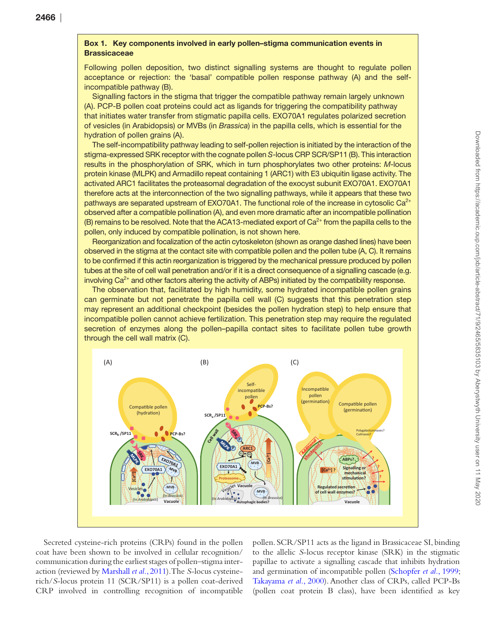#### <span id="page-2-0"></span>Box 1. Key components involved in early pollen–stigma communication events in **Brassicaceae**

Following pollen deposition, two distinct signalling systems are thought to regulate pollen acceptance or rejection: the 'basal' compatible pollen response pathway (A) and the selfincompatible pathway (B).

Signalling factors in the stigma that trigger the compatible pathway remain largely unknown (A). PCP-B pollen coat proteins could act as ligands for triggering the compatibility pathway that initiates water transfer from stigmatic papilla cells. EXO70A1 regulates polarized secretion of vesicles (in Arabidopsis) or MVBs (in *Brassica*) in the papilla cells, which is essential for the hydration of pollen grains (A).

The self-incompatibility pathway leading to self-pollen rejection is initiated by the interaction of the stigma-expressed SRK receptor with the cognate pollen *S*-locus CRP SCR/SP11 (B). This interaction results in the phosphorylation of SRK, which in turn phosphorylates two other proteins: *M*-locus protein kinase (MLPK) and Armadillo repeat containing 1 (ARC1) with E3 ubiquitin ligase activity. The activated ARC1 facilitates the proteasomal degradation of the exocyst subunit EXO70A1. EXO70A1 therefore acts at the interconnection of the two signalling pathways, while it appears that these two pathways are separated upstream of EXO70A1. The functional role of the increase in cytosolic  $Ca<sup>2+</sup>$ observed after a compatible pollination (A), and even more dramatic after an incompatible pollination (B) remains to be resolved. Note that the ACA13-mediated export of  $Ca<sup>2+</sup>$  from the papilla cells to the pollen, only induced by compatible pollination, is not shown here.

Reorganization and focalization of the actin cytoskeleton (shown as orange dashed lines) have been observed in the stigma at the contact site with compatible pollen and the pollen tube (A, C). It remains to be confirmed if this actin reorganization is triggered by the mechanical pressure produced by pollen tubes at the site of cell wall penetration and/or if it is a direct consequence of a signalling cascade (e.g. involving  $Ca<sup>2+</sup>$  and other factors altering the activity of ABPs) initiated by the compatibility response.

The observation that, facilitated by high humidity, some hydrated incompatible pollen grains can germinate but not penetrate the papilla cell wall (C) suggests that this penetration step may represent an additional checkpoint (besides the pollen hydration step) to help ensure that incompatible pollen cannot achieve fertilization. This penetration step may require the regulated secretion of enzymes along the pollen–papilla contact sites to facilitate pollen tube growth through the cell wall matrix (C).



Secreted cysteine-rich proteins (CRPs) found in the pollen coat have been shown to be involved in cellular recognition/ communication during the earliest stages of pollen–stigma interaction (reviewed by [Marshall](#page-4-8) *et al.*, 2011). The *S*-locus cysteinerich/*S*-locus protein 11 (SCR/SP11) is a pollen coat-derived CRP involved in controlling recognition of incompatible pollen. SCR/SP11 acts as the ligand in Brassicaceae SI, binding to the allelic *S*-locus receptor kinase (SRK) in the stigmatic papillae to activate a signalling cascade that inhibits hydration and germination of incompatible pollen ([Schopfer](#page-4-9) *et al.*, 1999; [Takayama](#page-4-10) *et al.*, 2000). Another class of CRPs, called PCP-Bs (pollen coat protein B class), have been identified as key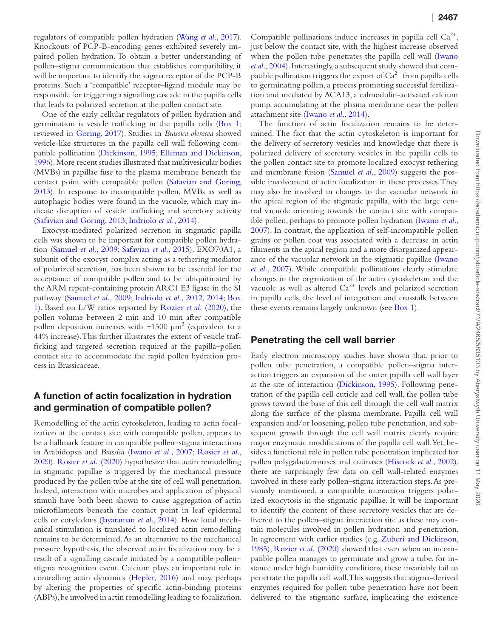regulators of compatible pollen hydration ([Wang](#page-4-11) *et al.*, 2017). Knockouts of PCP-B-encoding genes exhibited severely impaired pollen hydration. To obtain a better understanding of pollen–stigma communication that establishes compatibility, it will be important to identify the stigma receptor of the PCP-B proteins. Such a 'compatible' receptor–ligand module may be responsible for triggering a signalling cascade in the papilla cells that leads to polarized secretion at the pollen contact site.

One of the early cellular regulators of pollen hydration and germination is vesicle trafficking in the papilla cells ([Box 1](#page-2-0); reviewed in [Goring, 2017\)](#page-4-12). Studies in *Brassica oleracea* showed vesicle-like structures in the papilla cell wall following compatible pollination ([Dickinson, 1995](#page-4-3); [Elleman and Dickinson,](#page-4-13)  [1996\)](#page-4-13). More recent studies illustrated that multivesicular bodies (MVBs) in papillae fuse to the plasma membrane beneath the contact point with compatible pollen ([Safavian and Goring,](#page-4-7) [2013\)](#page-4-7). In response to incompatible pollen, MVBs as well as autophagic bodies were found in the vacuole, which may indicate disruption of vesicle trafficking and secretory activity [\(Safavian and Goring, 2013](#page-4-7); [Indriolo](#page-4-14) *et al.*, 2014).

Exocyst-mediated polarized secretion in stigmatic papilla cells was shown to be important for compatible pollen hydration ([Samuel](#page-4-15) *et al.*, 2009; [Safavian](#page-4-16) *et al.*, 2015). EXO70A1, a subunit of the exocyst complex acting as a tethering mediator of polarized secretion, has been shown to be essential for the acceptance of compatible pollen and to be ubiquitinated by the ARM repeat-containing protein ARC1 E3 ligase in the SI pathway ([Samuel](#page-4-15) *et al.*, 2009; [Indriolo](#page-4-17) *et al.*, 2012, [2014;](#page-4-14) [Box](#page-2-0) [1](#page-2-0)). Based on L/W ratios reported by [Rozier](#page-4-0) *et al.* (2020), the pollen volume between 2 min and 10 min after compatible pollen deposition increases with  $\sim$ 1500  $\mu$ m<sup>3</sup> (equivalent to a 44% increase). This further illustrates the extent of vesicle trafficking and targeted secretion required at the papilla–pollen contact site to accommodate the rapid pollen hydration process in Brassicaceae.

# A function of actin focalization in hydration and germination of compatible pollen?

Remodelling of the actin cytoskeleton, leading to actin focalization at the contact site with compatible pollen, appears to be a hallmark feature in compatible pollen–stigma interactions in Arabidopsis and *Brassica* ([Iwano](#page-4-5) *et al.*, 2007; [Rosier](#page-4-0) *et al.*, [2020\)](#page-4-0). Rosier *et al.* [\(2020\)](#page-4-0) hypothesize that actin remodelling in stigmatic papillae is triggered by the mechanical pressure produced by the pollen tube at the site of cell wall penetration. Indeed, interaction with microbes and application of physical stimuli have both been shown to cause aggregation of actin microfilaments beneath the contact point in leaf epidermal cells or cotyledons [\(Jayaraman](#page-4-18) *et al.*, 2014). How local mechanical stimulation is translated to localized actin remodelling remains to be determined. As an alternative to the mechanical pressure hypothesis, the observed actin focalization may be a result of a signalling cascade initiated by a compatible pollen– stigma recognition event. Calcium plays an important role in controlling actin dynamics ([Hepler, 2016](#page-4-19)) and may, perhaps by altering the properties of specific actin-binding proteins (ABPs), be involved in actin remodelling leading to focalization. Compatible pollinations induce increases in papilla cell  $Ca^{2+}$ , just below the contact site, with the highest increase observed when the pollen tube penetrates the papilla cell wall ([Iwano](#page-4-20) *et al.*[, 2004](#page-4-20)). Interestingly, a subsequent study showed that compatible pollination triggers the export of  $Ca^{2+}$  from papilla cells to germinating pollen, a process promoting successful fertilization and mediated by ACA13, a calmodulin-activated calcium pump, accumulating at the plasma membrane near the pollen attachment site [\(Iwano](#page-4-21) *et al.*, 2014).

The function of actin focalization remains to be determined. The fact that the actin cytoskeleton is important for the delivery of secretory vesicles and knowledge that there is polarized delivery of secretory vesicles in the papilla cells to the pollen contact site to promote localized exocyst tethering and membrane fusion ([Samuel](#page-4-15) *et al.*, 2009) suggests the possible involvement of actin focalization in these processes. They may also be involved in changes to the vacuolar network in the apical region of the stigmatic papilla, with the large central vacuole orienting towards the contact site with compatible pollen, perhaps to promote pollen hydration [\(Iwano](#page-4-5) *et al.*, [2007\)](#page-4-5). In contrast, the application of self-incompatible pollen grains or pollen coat was associated with a decrease in actin filaments in the apical region and a more disorganized appearance of the vacuolar network in the stigmatic papillae ([Iwano](#page-4-5) *et al.*[, 2007](#page-4-5)). While compatible pollinations clearly stimulate changes in the organization of the actin cytoskeleton and the vacuole as well as altered  $Ca^{2+}$  levels and polarized secretion in papilla cells, the level of integration and crosstalk between these events remains largely unknown (see [Box 1](#page-2-0)).

## Penetrating the cell wall barrier

Early electron microscopy studies have shown that, prior to pollen tube penetration, a compatible pollen–stigma interaction triggers an expansion of the outer papilla cell wall layer at the site of interaction ([Dickinson, 1995](#page-4-3)). Following penetration of the papilla cell cuticle and cell wall, the pollen tube grows toward the base of this cell through the cell wall matrix along the surface of the plasma membrane. Papilla cell wall expansion and/or loosening, pollen tube penetration, and subsequent growth through the cell wall matrix clearly require major enzymatic modifications of the papilla cell wall. Yet, besides a functional role in pollen tube penetration implicated for pollen polygalacturonases and cutinases ([Hiscock](#page-4-22) *et al.*, 2002), there are surprisingly few data on cell wall-related enzymes involved in these early pollen–stigma interaction steps. As previously mentioned, a compatible interaction triggers polarized exocytosis in the stigmatic papillae. It will be important to identify the content of these secretory vesicles that are delivered to the pollen–stigma interaction site as these may contain molecules involved in pollen hydration and penetration. In agreement with earlier studies (e.g. [Zuberi and Dickinson,](#page-4-4) [1985\)](#page-4-4), [Rozier](#page-4-0) *et al.* (2020) showed that even when an incompatible pollen manages to germinate and grow a tube, for instance under high humidity conditions, these invariably fail to penetrate the papilla cell wall. This suggests that stigma-derived enzymes required for pollen tube penetration have not been delivered to the stigmatic surface, implicating the existence